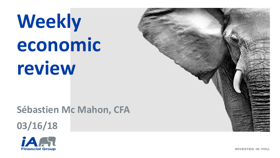# **Weekly economic review**

**Sébastien Mc Mahon, CFA 03/16/18**





**INVESTED IN YOU.**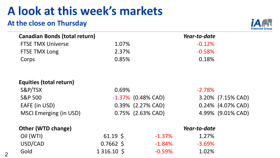# **A look at this week's markets**

### **At the close on Thursday**



| <b>Canadian Bonds (total return)</b> |                    |                       | Year-to-date |                   |
|--------------------------------------|--------------------|-----------------------|--------------|-------------------|
| <b>FTSE TMX Universe</b>             | 1.07%              |                       | $-0.12%$     |                   |
| <b>FTSE TMX Long</b>                 | 2.37%              |                       | $-0.58%$     |                   |
| Corps                                | 0.85%              |                       | 0.18%        |                   |
| Equities (total return)              |                    |                       |              |                   |
| S&P/TSX                              | 0.69%              |                       | $-2.78%$     |                   |
| <b>S&amp;P 500</b>                   |                    | $-1.37\%$ (0.48% CAD) |              | 3.20% (7.15% CAD) |
| EAFE (in USD)                        |                    | 0.39% (2.27% CAD)     |              | 0.24% (4.07% CAD) |
| <b>MSCI Emerging (in USD)</b>        |                    | 0.75% (2.63% CAD)     |              | 4.99% (9.01% CAD) |
| <b>Other (WTD change)</b>            |                    |                       | Year-to-date |                   |
| Oil (WTI)                            | $61.19 \text{ }$   | $-1.37\%$             | 1.27%        |                   |
| USD/CAD                              | $0.7662$ \$        | $-1.84\%$             | $-3.69%$     |                   |
| Gold                                 | $1316.10 \text{ }$ | $-0.59%$              | 1.02%        |                   |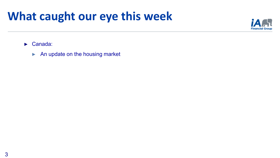## **What caught our eye this week**



► Canada:

► An update on the housing market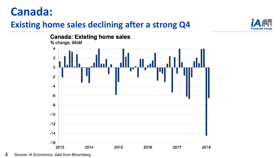### **Canada:**

### **Existing home sales declining after a strong Q4**



#### **Canada: Existing home sales**

% change, MoM



4 Source: iA Economics, data from Bloomberg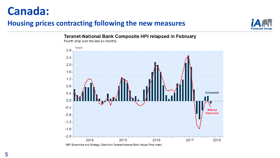### **Canada:**

#### **Housing prices contracting following the new measures**



Teranet-National Bank Composite HPI relapsed in February



Fourth drop over the last six months

NBF Economics and Strategy (Data from Teranet-National Bank House Price Index)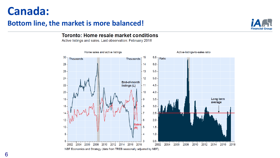### **Canada:**

#### **Bottom line, the market is more balanced!**



#### **Toronto: Home resale market conditions**

Active listings and sales. Last observation: February 2018

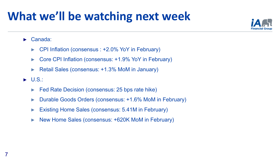# **What we'll be watching next week**



#### ► Canada:

- ► CPI Inflation (consensus : +2.0% YoY in February)
- ► Core CPI Inflation (consensus: +1.9% YoY in February)
- ► Retail Sales (consensus: +1.3% MoM in January)
- $\blacktriangleright$  U.S.:
	- ► Fed Rate Decision (consensus: 25 bps rate hike)
	- ► Durable Goods Orders (consensus: +1.6% MoM in February)
	- Existing Home Sales (consensus: 5.41M in February)
	- ► New Home Sales (consensus: +620K MoM in February)